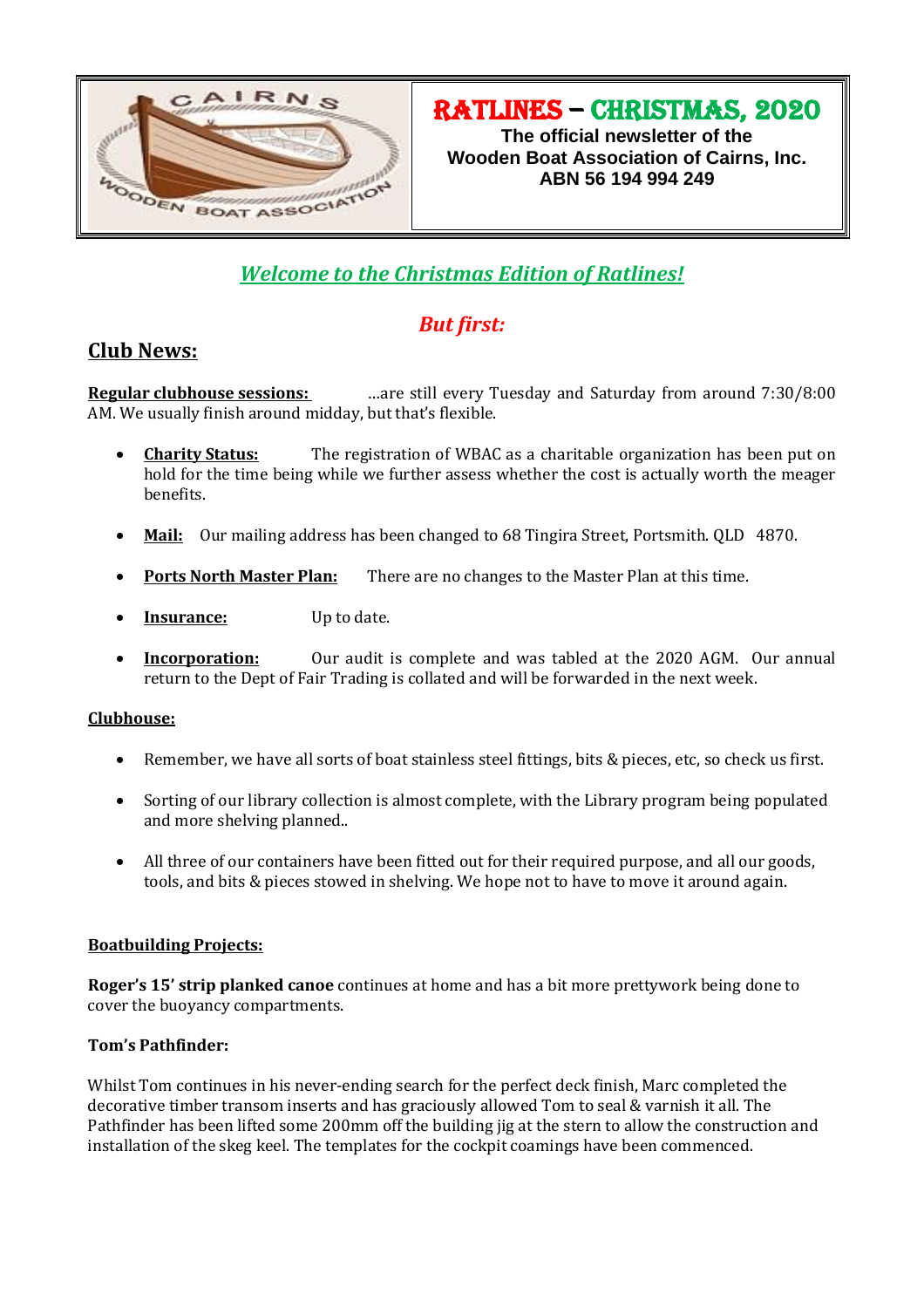

RATLINES – christmas, 2020

**The official newsletter of the Wooden Boat Association of Cairns, Inc. ABN 56 194 994 249**

# *Welcome to the Christmas Edition of Ratlines!*

## *But first:*

## **Club News:**

**Regular clubhouse sessions:** …are still every Tuesday and Saturday from around 7:30/8:00 AM. We usually finish around midday, but that's flexible.

- **Charity Status:** The registration of WBAC as a charitable organization has been put on hold for the time being while we further assess whether the cost is actually worth the meager benefits.
- **Mail:** Our mailing address has been changed to 68 Tingira Street, Portsmith. QLD 4870.
- **Ports North Master Plan:** There are no changes to the Master Plan at this time.
- **Insurance:** Up to date.
- **Incorporation:** Our audit is complete and was tabled at the 2020 AGM. Our annual return to the Dept of Fair Trading is collated and will be forwarded in the next week.

#### **Clubhouse:**

- Remember, we have all sorts of boat stainless steel fittings, bits & pieces, etc, so check us first.
- Sorting of our library collection is almost complete, with the Library program being populated and more shelving planned..
- All three of our containers have been fitted out for their required purpose, and all our goods, tools, and bits & pieces stowed in shelving. We hope not to have to move it around again.

#### **Boatbuilding Projects:**

**Roger's 15' strip planked canoe** continues at home and has a bit more prettywork being done to cover the buoyancy compartments.

#### **Tom's Pathfinder:**

Whilst Tom continues in his never-ending search for the perfect deck finish, Marc completed the decorative timber transom inserts and has graciously allowed Tom to seal & varnish it all. The Pathfinder has been lifted some 200mm off the building jig at the stern to allow the construction and installation of the skeg keel. The templates for the cockpit coamings have been commenced.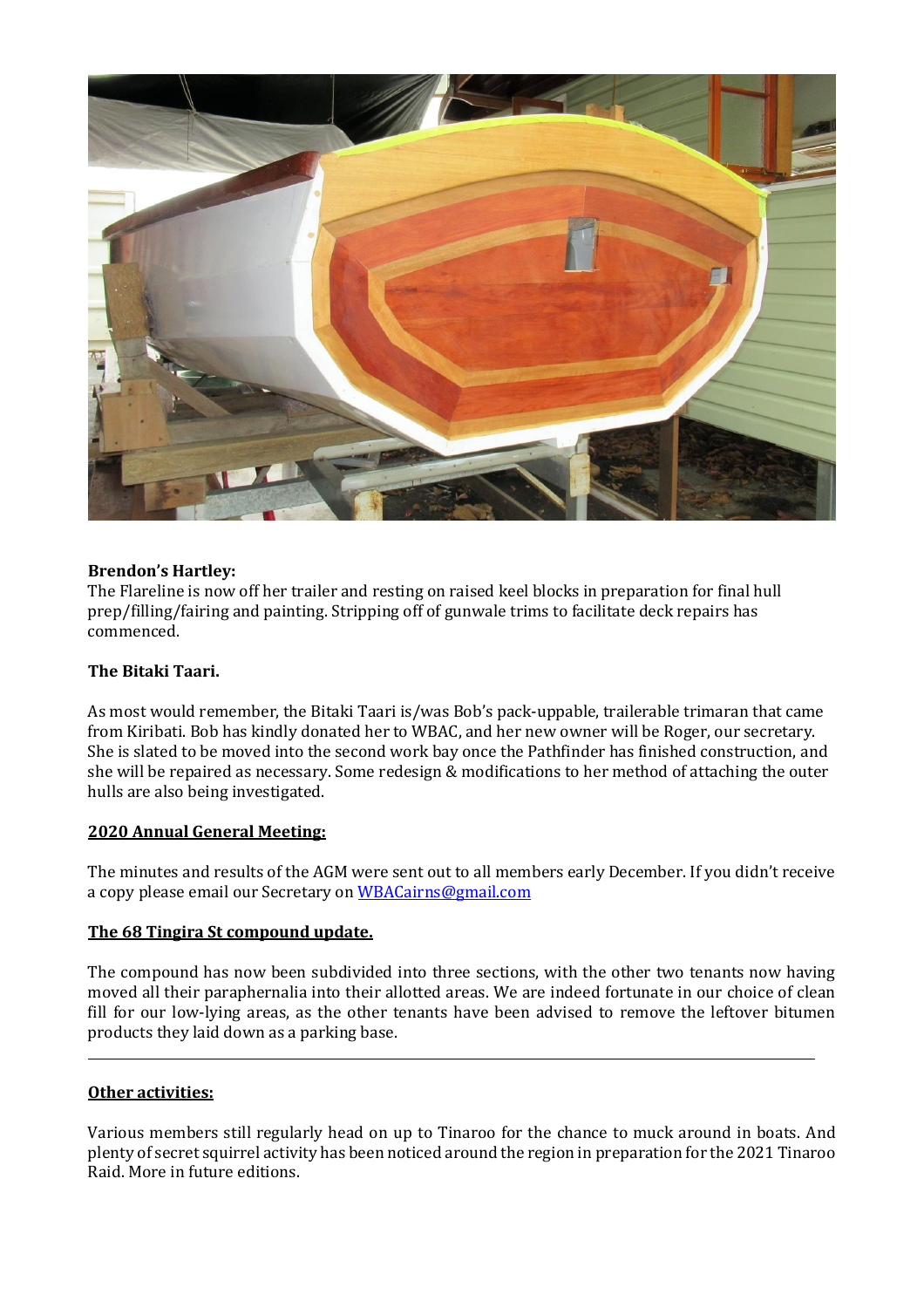

#### **Brendon's Hartley:**

The Flareline is now off her trailer and resting on raised keel blocks in preparation for final hull prep/filling/fairing and painting. Stripping off of gunwale trims to facilitate deck repairs has commenced.

#### **The Bitaki Taari.**

As most would remember, the Bitaki Taari is/was Bob's pack-uppable, trailerable trimaran that came from Kiribati. Bob has kindly donated her to WBAC, and her new owner will be Roger, our secretary. She is slated to be moved into the second work bay once the Pathfinder has finished construction, and she will be repaired as necessary. Some redesign & modifications to her method of attaching the outer hulls are also being investigated.

#### **2020 Annual General Meeting:**

The minutes and results of the AGM were sent out to all members early December. If you didn't receive a copy please email our Secretary o[n WBACairns@gmail.com](mailto:WBACairns@gmail.com)

#### **The 68 Tingira St compound update.**

The compound has now been subdivided into three sections, with the other two tenants now having moved all their paraphernalia into their allotted areas. We are indeed fortunate in our choice of clean fill for our low-lying areas, as the other tenants have been advised to remove the leftover bitumen products they laid down as a parking base.

#### **Other activities:**

L

Various members still regularly head on up to Tinaroo for the chance to muck around in boats. And plenty of secret squirrel activity has been noticed around the region in preparation for the 2021 Tinaroo Raid. More in future editions.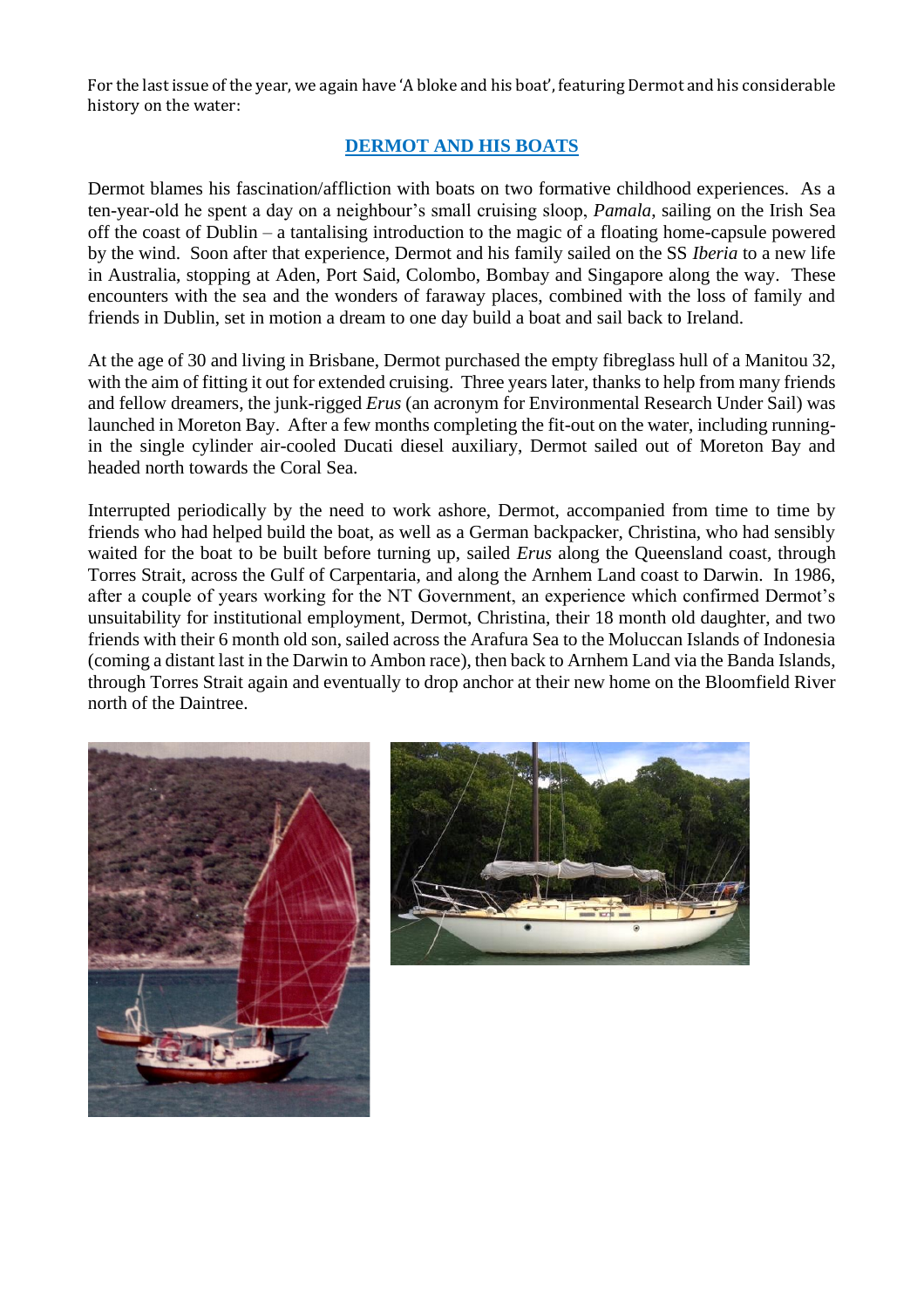For the last issue of the year, we again have 'A bloke and his boat', featuring Dermot and his considerable history on the water:

### **DERMOT AND HIS BOATS**

Dermot blames his fascination/affliction with boats on two formative childhood experiences. As a ten-year-old he spent a day on a neighbour's small cruising sloop, *Pamala*, sailing on the Irish Sea off the coast of Dublin – a tantalising introduction to the magic of a floating home-capsule powered by the wind. Soon after that experience, Dermot and his family sailed on the SS *Iberia* to a new life in Australia, stopping at Aden, Port Said, Colombo, Bombay and Singapore along the way. These encounters with the sea and the wonders of faraway places, combined with the loss of family and friends in Dublin, set in motion a dream to one day build a boat and sail back to Ireland.

At the age of 30 and living in Brisbane, Dermot purchased the empty fibreglass hull of a Manitou 32, with the aim of fitting it out for extended cruising. Three years later, thanks to help from many friends and fellow dreamers, the junk-rigged *Erus* (an acronym for Environmental Research Under Sail) was launched in Moreton Bay. After a few months completing the fit-out on the water, including runningin the single cylinder air-cooled Ducati diesel auxiliary, Dermot sailed out of Moreton Bay and headed north towards the Coral Sea.

Interrupted periodically by the need to work ashore, Dermot, accompanied from time to time by friends who had helped build the boat, as well as a German backpacker, Christina, who had sensibly waited for the boat to be built before turning up, sailed *Erus* along the Queensland coast, through Torres Strait, across the Gulf of Carpentaria, and along the Arnhem Land coast to Darwin. In 1986, after a couple of years working for the NT Government, an experience which confirmed Dermot's unsuitability for institutional employment, Dermot, Christina, their 18 month old daughter, and two friends with their 6 month old son, sailed across the Arafura Sea to the Moluccan Islands of Indonesia (coming a distant last in the Darwin to Ambon race), then back to Arnhem Land via the Banda Islands, through Torres Strait again and eventually to drop anchor at their new home on the Bloomfield River north of the Daintree.



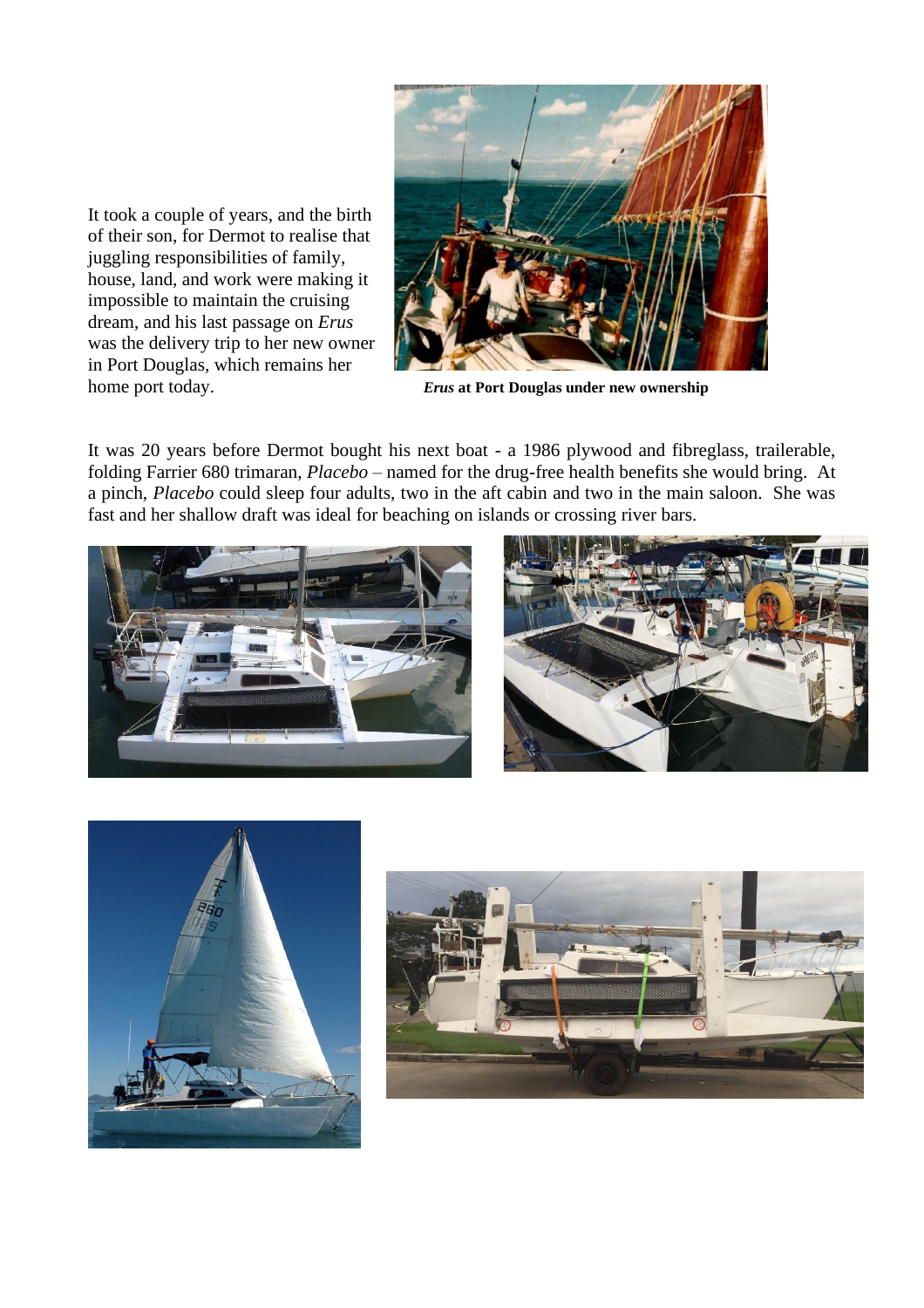

home port today. *Erus* **at Port Douglas under new ownership**

It was 20 years before Dermot bought his next boat - a 1986 plywood and fibreglass, trailerable, folding Farrier 680 trimaran, *Placebo* – named for the drug-free health benefits she would bring. At a pinch, *Placebo* could sleep four adults, two in the aft cabin and two in the main saloon. She was fast and her shallow draft was ideal for beaching on islands or crossing river bars.



It took a couple of years, and the birth of their son, for Dermot to realise that juggling responsibilities of family, house, land, and work were making it impossible to maintain the cruising dream, and his last passage on *Erus*  was the delivery trip to her new owner in Port Douglas, which remains her





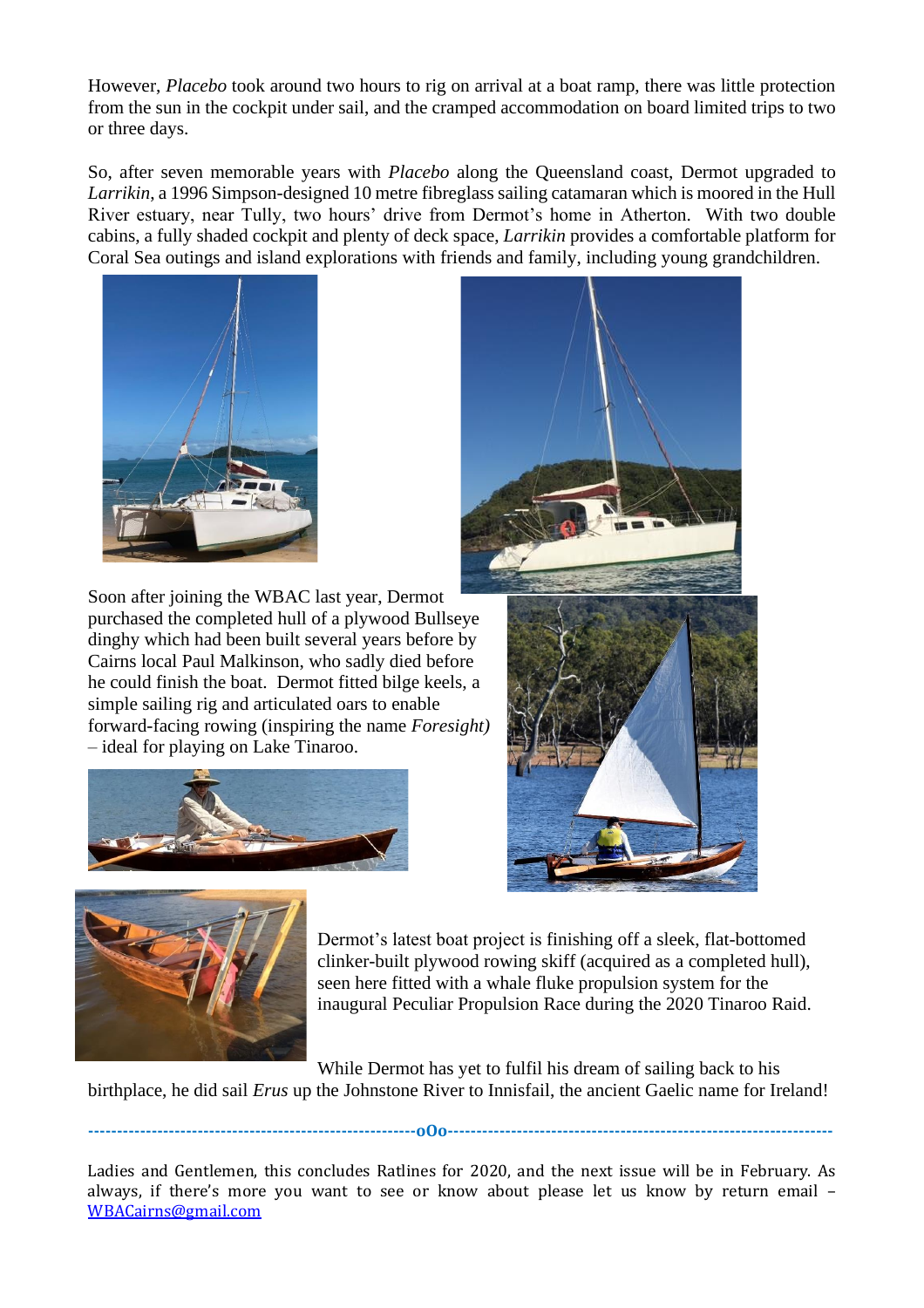However, *Placebo* took around two hours to rig on arrival at a boat ramp, there was little protection from the sun in the cockpit under sail, and the cramped accommodation on board limited trips to two or three days.

So, after seven memorable years with *Placebo* along the Queensland coast, Dermot upgraded to *Larrikin*, a 1996 Simpson-designed 10 metre fibreglass sailing catamaran which is moored in the Hull River estuary, near Tully, two hours' drive from Dermot's home in Atherton. With two double cabins, a fully shaded cockpit and plenty of deck space, *Larrikin* provides a comfortable platform for Coral Sea outings and island explorations with friends and family, including young grandchildren.



Soon after joining the WBAC last year, Dermot purchased the completed hull of a plywood Bullseye dinghy which had been built several years before by Cairns local Paul Malkinson, who sadly died before he could finish the boat. Dermot fitted bilge keels, a simple sailing rig and articulated oars to enable forward-facing rowing (inspiring the name *Foresight)* – ideal for playing on Lake Tinaroo.







Dermot's latest boat project is finishing off a sleek, flat-bottomed clinker-built plywood rowing skiff (acquired as a completed hull), seen here fitted with a whale fluke propulsion system for the inaugural Peculiar Propulsion Race during the 2020 Tinaroo Raid.

**---------------------------------------------------------oOo-------------------------------------------------------------------**

While Dermot has yet to fulfil his dream of sailing back to his birthplace, he did sail *Erus* up the Johnstone River to Innisfail, the ancient Gaelic name for Ireland!

Ladies and Gentlemen, this concludes Ratlines for 2020, and the next issue will be in February. As always, if there's more you want to see or know about please let us know by return email – [WBACairns@gmail.com](mailto:WBACairns@gmail.com)